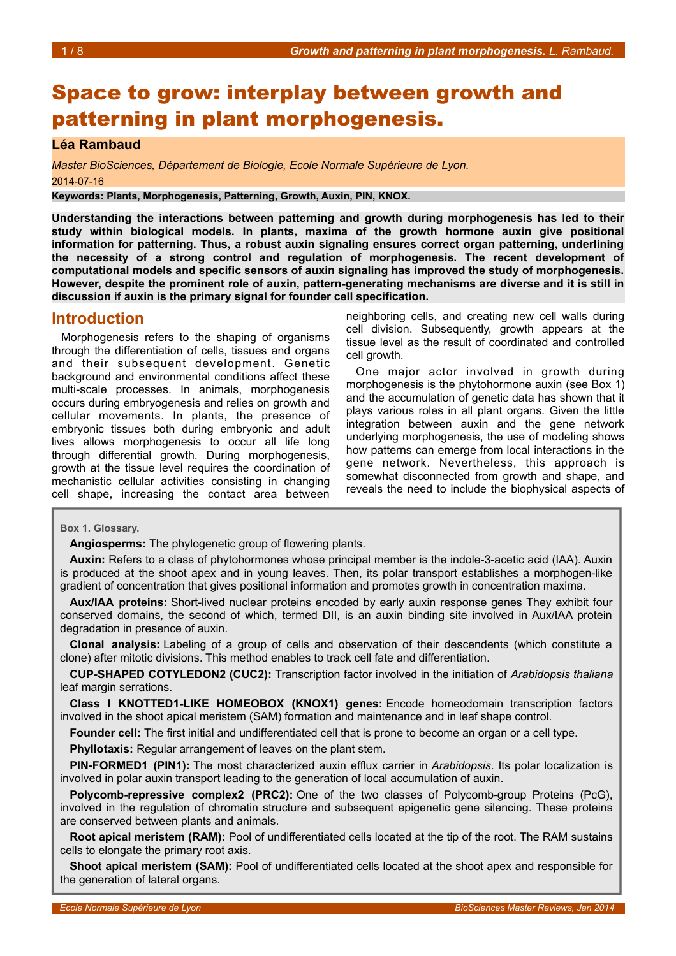# Space to grow: interplay between growth and patterning in plant morphogenesis.

### **Léa Rambaud**

*Master BioSciences, Département de Biologie, Ecole Normale Supérieure de Lyon.* 2014-07-16

**Keywords: Plants, Morphogenesis, Patterning, Growth, Auxin, PIN, KNOX.**

**Understanding the interactions between patterning and growth during morphogenesis has led to their study within biological models. In plants, maxima of the growth hormone auxin give positional information for patterning. Thus, a robust auxin signaling ensures correct organ patterning, underlining the necessity of a strong control and regulation of morphogenesis. The recent development of computational models and specific sensors of auxin signaling has improved the study of morphogenesis. However, despite the prominent role of auxin, pattern-generating mechanisms are diverse and it is still in discussion if auxin is the primary signal for founder cell specification.**

# **Introduction**

Morphogenesis refers to the shaping of organisms through the differentiation of cells, tissues and organs and their subsequent development. Genetic background and environmental conditions affect these multi-scale processes. In animals, morphogenesis occurs during embryogenesis and relies on growth and cellular movements. In plants, the presence of embryonic tissues both during embryonic and adult lives allows morphogenesis to occur all life long through differential growth. During morphogenesis, growth at the tissue level requires the coordination of mechanistic cellular activities consisting in changing cell shape, increasing the contact area between

neighboring cells, and creating new cell walls during cell division. Subsequently, growth appears at the tissue level as the result of coordinated and controlled cell growth.

One major actor involved in growth during morphogenesis is the phytohormone auxin (see Box [1\)](#page-0-0) and the accumulation of genetic data has shown that it plays various roles in all plant organs. Given the little integration between auxin and the gene network underlying morphogenesis, the use of modeling shows how patterns can emerge from local interactions in the gene network. Nevertheless, this approach is somewhat disconnected from growth and shape, and reveals the need to include the biophysical aspects of

**Box 1. Glossary.**

<span id="page-0-0"></span>**Angiosperms:** The phylogenetic group of flowering plants.

**Auxin:** Refers to a class of phytohormones whose principal member is the indole-3-acetic acid (IAA). Auxin is produced at the shoot apex and in young leaves. Then, its polar transport establishes a morphogen-like gradient of concentration that gives positional information and promotes growth in concentration maxima.

**Aux/IAA proteins:** Short-lived nuclear proteins encoded by early auxin response genes They exhibit four conserved domains, the second of which, termed DII, is an auxin binding site involved in Aux/IAA protein degradation in presence of auxin.

**Clonal analysis:** Labeling of a group of cells and observation of their descendents (which constitute a clone) after mitotic divisions. This method enables to track cell fate and differentiation.

**CUP-SHAPED COTYLEDON2 (CUC2):** Transcription factor involved in the initiation of *Arabidopsis thaliana* leaf margin serrations.

**Class I KNOTTED1-LIKE HOMEOBOX (KNOX1) genes:** Encode homeodomain transcription factors involved in the shoot apical meristem (SAM) formation and maintenance and in leaf shape control.

**Founder cell:** The first initial and undifferentiated cell that is prone to become an organ or a cell type.

**Phyllotaxis:** Regular arrangement of leaves on the plant stem.

**PIN-FORMED1 (PIN1):** The most characterized auxin efflux carrier in *Arabidopsis*. Its polar localization is involved in polar auxin transport leading to the generation of local accumulation of auxin.

**Polycomb-repressive complex2 (PRC2):** One of the two classes of Polycomb-group Proteins (PcG), involved in the regulation of chromatin structure and subsequent epigenetic gene silencing. These proteins are conserved between plants and animals.

**Root apical meristem (RAM):** Pool of undifferentiated cells located at the tip of the root. The RAM sustains cells to elongate the primary root axis.

**Shoot apical meristem (SAM):** Pool of undifferentiated cells located at the shoot apex and responsible for the generation of lateral organs.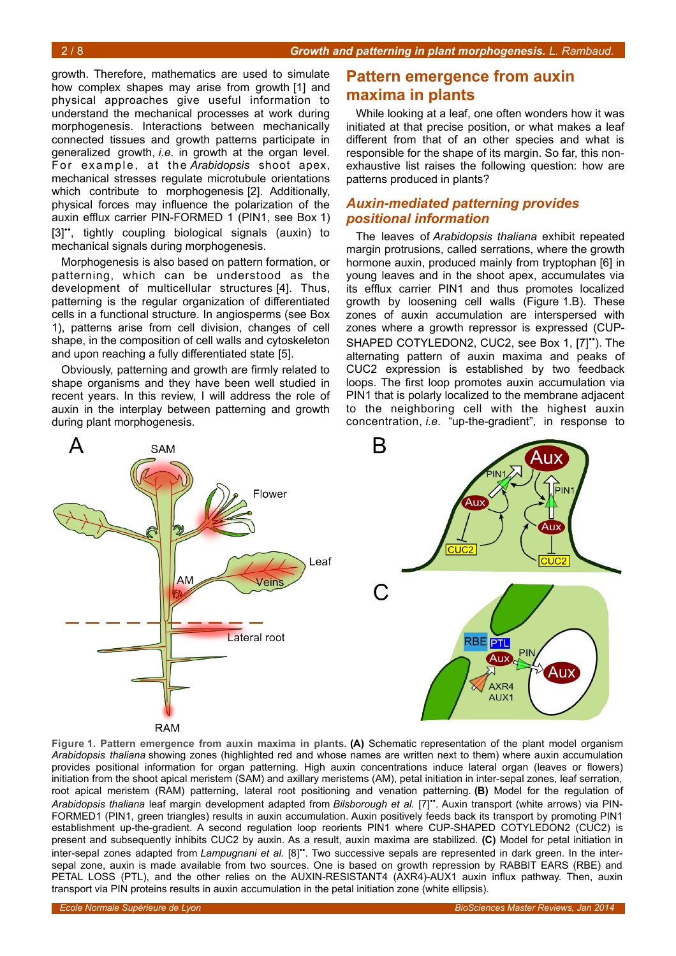growth. Therefore, mathematics are used to simulate how complex shapes may arise from growth [1] and physical approaches give useful information to understand the mechanical processes at work during morphogenesis. Interactions between mechanically connected tissues and growth patterns participate in generalized growth, *i.e*. in growth at the organ level. For ex ample, at the *Arabidopsis* shoot apex, mechanical stresses regulate microtubule orientations which contribute to morphogenesis [2]. Additionally, physical forces may influence the polarization of the auxin efflux carrier PIN-FORMED 1 (PIN1, see Box [1\)](#page-0-0) [3]", tightly coupling biological signals (auxin) to mechanical signals during morphogenesis.

Morphogenesis is also based on pattern formation, or patterning, which can be understood as the development of multicellular structures [4]. Thus, patterning is the regular organization of differentiated cells in a functional structure. In angiosperms (see Box [1\)](#page-0-0), patterns arise from cell division, changes of cell shape, in the composition of cell walls and cytoskeleton and upon reaching a fully differentiated state [5].

Obviously, patterning and growth are firmly related to shape organisms and they have been well studied in recent years. In this review, I will address the role of auxin in the interplay between patterning and growth during plant morphogenesis.

# **Pattern emergence from auxin maxima in plants**

While looking at a leaf, one often wonders how it was initiated at that precise position, or what makes a leaf different from that of an other species and what is responsible for the shape of its margin. So far, this nonexhaustive list raises the following question: how are patterns produced in plants?

## *Auxin-mediated patterning provides positional information*

The leaves of *Arabidopsis thaliana* exhibit repeated margin protrusions, called serrations, where the growth hormone auxin, produced mainly from tryptophan [6] in young leaves and in the shoot apex, accumulates via its efflux carrier PIN1 and thus promotes localized growth by loosening cell walls (Figure [1.](#page-1-0)B). These zones of auxin accumulation are interspersed with zones where a growth repressor is expressed (CUP-SHAPED COTYLEDON2, CUC2, see Box [1,](#page-0-0) [7]"). The alternating pattern of auxin maxima and peaks of CUC2 expression is established by two feedback loops. The first loop promotes auxin accumulation via PIN1 that is polarly localized to the membrane adjacent to the neighboring cell with the highest auxin concentration, *i.e*. "up-the-gradient", in response to



<span id="page-1-0"></span>**Figure 1. Pattern emergence from auxin maxima in plants. (A)** Schematic representation of the plant model organism *Arabidopsis thaliana* showing zones (highlighted red and whose names are written next to them) where auxin accumulation provides positional information for organ patterning. High auxin concentrations induce lateral organ (leaves or flowers) initiation from the shoot apical meristem (SAM) and axillary meristems (AM), petal initiation in inter-sepal zones, leaf serration, root apical meristem (RAM) patterning, lateral root positioning and venation patterning. **(B)** Model for the regulation of *Arabidopsis thaliana* leaf margin development adapted from *Bilsborough et al.* [7]••. Auxin transport (white arrows) via PIN-FORMED1 (PIN1, green triangles) results in auxin accumulation. Auxin positively feeds back its transport by promoting PIN1 establishment up-the-gradient. A second regulation loop reorients PIN1 where CUP-SHAPED COTYLEDON2 (CUC2) is present and subsequently inhibits CUC2 by auxin. As a result, auxin maxima are stabilized. **(C)** Model for petal initiation in inter-sepal zones adapted from *Lampugnani et al.* [8]••. Two successive sepals are represented in dark green. In the intersepal zone, auxin is made available from two sources. One is based on growth repression by RABBIT EARS (RBE) and PETAL LOSS (PTL), and the other relies on the AUXIN-RESISTANT4 (AXR4)-AUX1 auxin influx pathway. Then, auxin transport via PIN proteins results in auxin accumulation in the petal initiation zone (white ellipsis).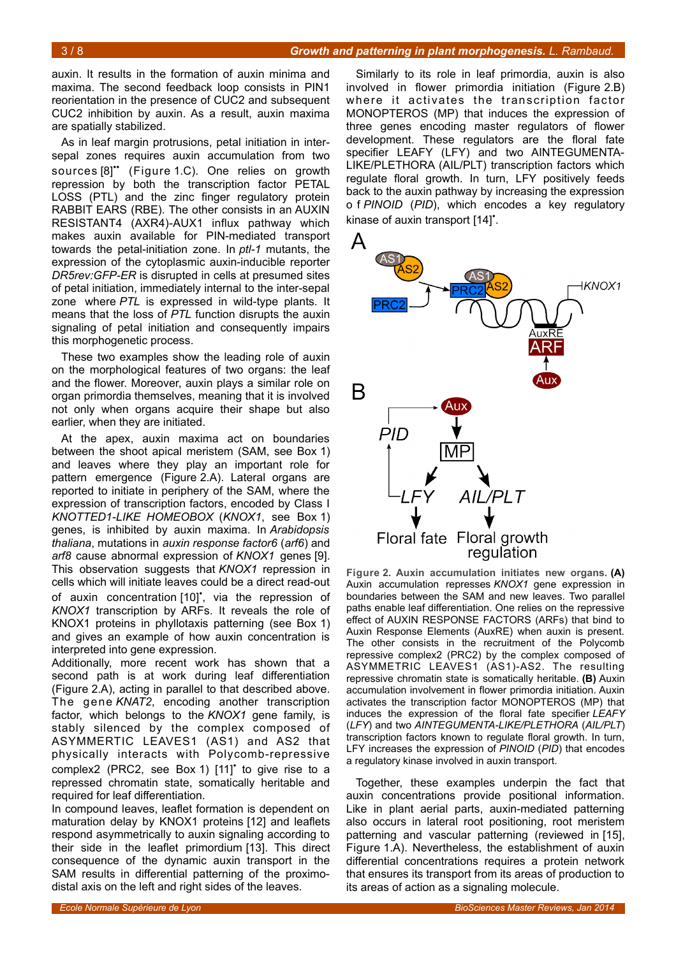auxin. It results in the formation of auxin minima and maxima. The second feedback loop consists in PIN1 reorientation in the presence of CUC2 and subsequent CUC2 inhibition by auxin. As a result, auxin maxima are spatially stabilized.

As in leaf margin protrusions, petal initiation in intersepal zones requires auxin accumulation from two sources [8]" (Figure [1.](#page-1-0)C). One relies on growth repression by both the transcription factor PETAL LOSS (PTL) and the zinc finger regulatory protein RABBIT EARS (RBE). The other consists in an AUXIN RESISTANT4 (AXR4)-AUX1 influx pathway which makes auxin available for PIN-mediated transport towards the petal-initiation zone. In *ptl-1* mutants, the expression of the cytoplasmic auxin-inducible reporter *DR5rev:GFP-ER* is disrupted in cells at presumed sites of petal initiation, immediately internal to the inter-sepal zone where *PTL* is expressed in wild-type plants. It means that the loss of *PTL* function disrupts the auxin signaling of petal initiation and consequently impairs this morphogenetic process.

These two examples show the leading role of auxin on the morphological features of two organs: the leaf and the flower. Moreover, auxin plays a similar role on organ primordia themselves, meaning that it is involved not only when organs acquire their shape but also earlier, when they are initiated.

At the apex, auxin maxima act on boundaries between the shoot apical meristem (SAM, see Box [1\)](#page-0-0) and leaves where they play an important role for pattern emergence (Figure [2.](#page-2-0)A). Lateral organs are reported to initiate in periphery of the SAM, where the expression of transcription factors, encoded by Class I *KNOTTED1-LIKE HOMEOBOX* (*KNOX1*, see Box [1\)](#page-0-0) genes, is inhibited by auxin maxima. In *Arabidopsis thaliana*, mutations in *auxin response factor6* (*arf6*) and *arf8* cause abnormal expression of *KNOX1* genes [9]. This observation suggests that *KNOX1* repression in cells which will initiate leaves could be a direct read-out of auxin concentration [10]<sup>\*</sup>, via the repression of *KNOX1* transcription by ARFs. It reveals the role of KNOX1 proteins in phyllotaxis patterning (see Box [1\)](#page-0-0) and gives an example of how auxin concentration is interpreted into gene expression.

Additionally, more recent work has shown that a second path is at work during leaf differentiation (Figure [2.](#page-2-0)A), acting in parallel to that described above. The gene *KNAT2*, encoding another transcription factor, which belongs to the *KNOX1* gene family, is stably silenced by the complex composed of ASYMMERTIC LEAVES1 (AS1) and AS2 that physically interacts with Polycomb-repressive complex2 (PRC2, see Box [1\)](#page-0-0) [11]<sup>\*</sup> to give rise to a repressed chromatin state, somatically heritable and required for leaf differentiation.

In compound leaves, leaflet formation is dependent on maturation delay by KNOX1 proteins [12] and leaflets respond asymmetrically to auxin signaling according to their side in the leaflet primordium [13]. This direct consequence of the dynamic auxin transport in the SAM results in differential patterning of the proximodistal axis on the left and right sides of the leaves.

Similarly to its role in leaf primordia, auxin is also involved in flower primordia initiation (Figure [2.](#page-2-0)B) where it activates the transcription factor MONOPTEROS (MP) that induces the expression of three genes encoding master regulators of flower development. These regulators are the floral fate specifier LEAFY (LFY) and two AINTEGUMENTA-LIKE/PLETHORA (AIL/PLT) transcription factors which regulate floral growth. In turn, LFY positively feeds back to the auxin pathway by increasing the expression o f *PINOID* (*PID*), which encodes a key regulatory kinase of auxin transport [14]<sup>\*</sup>.



<span id="page-2-0"></span>**Figure 2. Auxin accumulation initiates new organs. (A)** Auxin accumulation represses *KNOX1* gene expression in boundaries between the SAM and new leaves. Two parallel paths enable leaf differentiation. One relies on the repressive effect of AUXIN RESPONSE FACTORS (ARFs) that bind to Auxin Response Elements (AuxRE) when auxin is present. The other consists in the recruitment of the Polycomb repressive complex2 (PRC2) by the complex composed of ASYMMETRIC LEAVES1 (AS1)-AS2. The resulting repressive chromatin state is somatically heritable. **(B)** Auxin accumulation involvement in flower primordia initiation. Auxin activates the transcription factor MONOPTEROS (MP) that induces the expression of the floral fate specifier *LEAFY* (*LFY*) and two *AINTEGUMENTA-LIKE/PLETHORA* (*AIL/PLT*) transcription factors known to regulate floral growth. In turn, LFY increases the expression of *PINOID* (*PID*) that encodes a regulatory kinase involved in auxin transport.

Together, these examples underpin the fact that auxin concentrations provide positional information. Like in plant aerial parts, auxin-mediated patterning also occurs in lateral root positioning, root meristem patterning and vascular patterning (reviewed in [15], Figure [1.](#page-1-0)A). Nevertheless, the establishment of auxin differential concentrations requires a protein network that ensures its transport from its areas of production to its areas of action as a signaling molecule.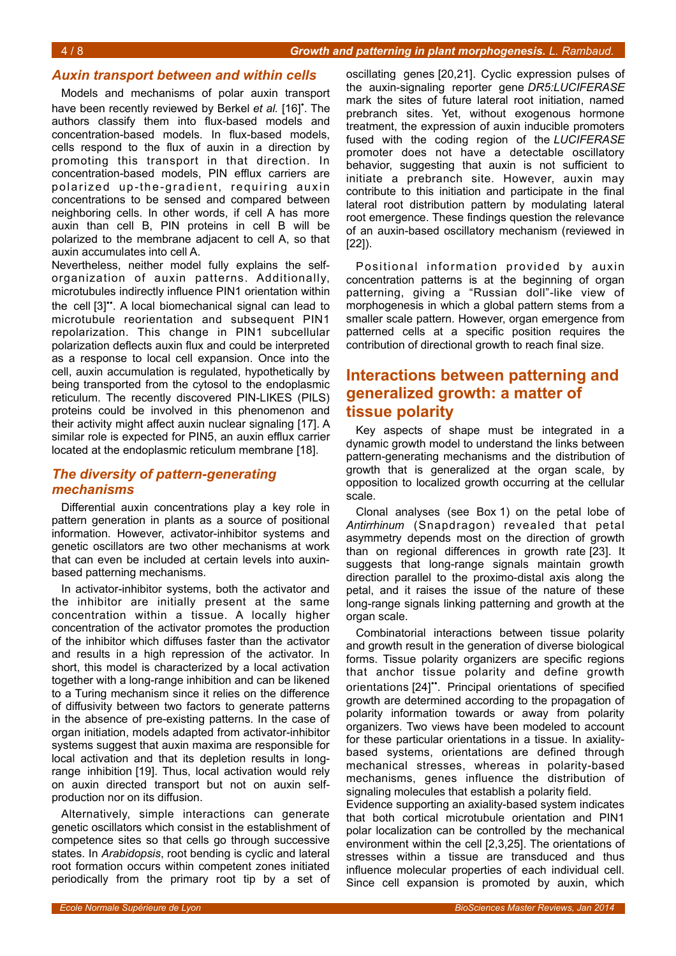### *Auxin transport between and within cells*

Models and mechanisms of polar auxin transport have been recently reviewed by Berkel et al. [16]<sup>\*</sup>. The authors classify them into flux-based models and concentration-based models. In flux-based models, cells respond to the flux of auxin in a direction by promoting this transport in that direction. In concentration-based models, PIN efflux carriers are polarized up-the-gradient, requiring auxin concentrations to be sensed and compared between neighboring cells. In other words, if cell A has more auxin than cell B, PIN proteins in cell B will be polarized to the membrane adjacent to cell A, so that auxin accumulates into cell A.

Nevertheless, neither model fully explains the selforganization of auxin patterns. Additionally, microtubules indirectly influence PIN1 orientation within the cell [3]". A local biomechanical signal can lead to microtubule reorientation and subsequent PIN1 repolarization. This change in PIN1 subcellular polarization deflects auxin flux and could be interpreted as a response to local cell expansion. Once into the cell, auxin accumulation is regulated, hypothetically by being transported from the cytosol to the endoplasmic reticulum. The recently discovered PIN-LIKES (PILS) proteins could be involved in this phenomenon and their activity might affect auxin nuclear signaling [17]. A similar role is expected for PIN5, an auxin efflux carrier located at the endoplasmic reticulum membrane [18].

## *The diversity of pattern-generating mechanisms*

Differential auxin concentrations play a key role in pattern generation in plants as a source of positional information. However, activator-inhibitor systems and genetic oscillators are two other mechanisms at work that can even be included at certain levels into auxinbased patterning mechanisms.

In activator-inhibitor systems, both the activator and the inhibitor are initially present at the same concentration within a tissue. A locally higher concentration of the activator promotes the production of the inhibitor which diffuses faster than the activator and results in a high repression of the activator. In short, this model is characterized by a local activation together with a long-range inhibition and can be likened to a Turing mechanism since it relies on the difference of diffusivity between two factors to generate patterns in the absence of pre-existing patterns. In the case of organ initiation, models adapted from activator-inhibitor systems suggest that auxin maxima are responsible for local activation and that its depletion results in longrange inhibition [19]. Thus, local activation would rely on auxin directed transport but not on auxin selfproduction nor on its diffusion.

Alternatively, simple interactions can generate genetic oscillators which consist in the establishment of competence sites so that cells go through successive states. In *Arabidopsis*, root bending is cyclic and lateral root formation occurs within competent zones initiated periodically from the primary root tip by a set of

oscillating genes [20,21]. Cyclic expression pulses of the auxin-signaling reporter gene *DR5:LUCIFERASE* mark the sites of future lateral root initiation, named prebranch sites. Yet, without exogenous hormone treatment, the expression of auxin inducible promoters fused with the coding region of the *LUCIFERASE* promoter does not have a detectable oscillatory behavior, suggesting that auxin is not sufficient to initiate a prebranch site. However, auxin may contribute to this initiation and participate in the final lateral root distribution pattern by modulating lateral root emergence. These findings question the relevance of an auxin-based oscillatory mechanism (reviewed in [22]).

Positional information provided by auxin concentration patterns is at the beginning of organ patterning, giving a "Russian doll"-like view of morphogenesis in which a global pattern stems from a smaller scale pattern. However, organ emergence from patterned cells at a specific position requires the contribution of directional growth to reach final size.

# **Interactions between patterning and generalized growth: a matter of tissue polarity**

Key aspects of shape must be integrated in a dynamic growth model to understand the links between pattern-generating mechanisms and the distribution of growth that is generalized at the organ scale, by opposition to localized growth occurring at the cellular scale.

Clonal analyses (see Box [1\)](#page-0-0) on the petal lobe of *Antirrhinum* (Snapdragon) revealed that petal asymmetry depends most on the direction of growth than on regional differences in growth rate [23]. It suggests that long-range signals maintain growth direction parallel to the proximo-distal axis along the petal, and it raises the issue of the nature of these long-range signals linking patterning and growth at the organ scale.

Combinatorial interactions between tissue polarity and growth result in the generation of diverse biological forms. Tissue polarity organizers are specific regions that anchor tissue polarity and define growth orientations [24]". Principal orientations of specified growth are determined according to the propagation of polarity information towards or away from polarity organizers. Two views have been modeled to account for these particular orientations in a tissue. In axialitybased systems, orientations are defined through mechanical stresses, whereas in polarity-based mechanisms, genes influence the distribution of signaling molecules that establish a polarity field.

Evidence supporting an axiality-based system indicates that both cortical microtubule orientation and PIN1 polar localization can be controlled by the mechanical environment within the cell [2,3,25]. The orientations of stresses within a tissue are transduced and thus influence molecular properties of each individual cell. Since cell expansion is promoted by auxin, which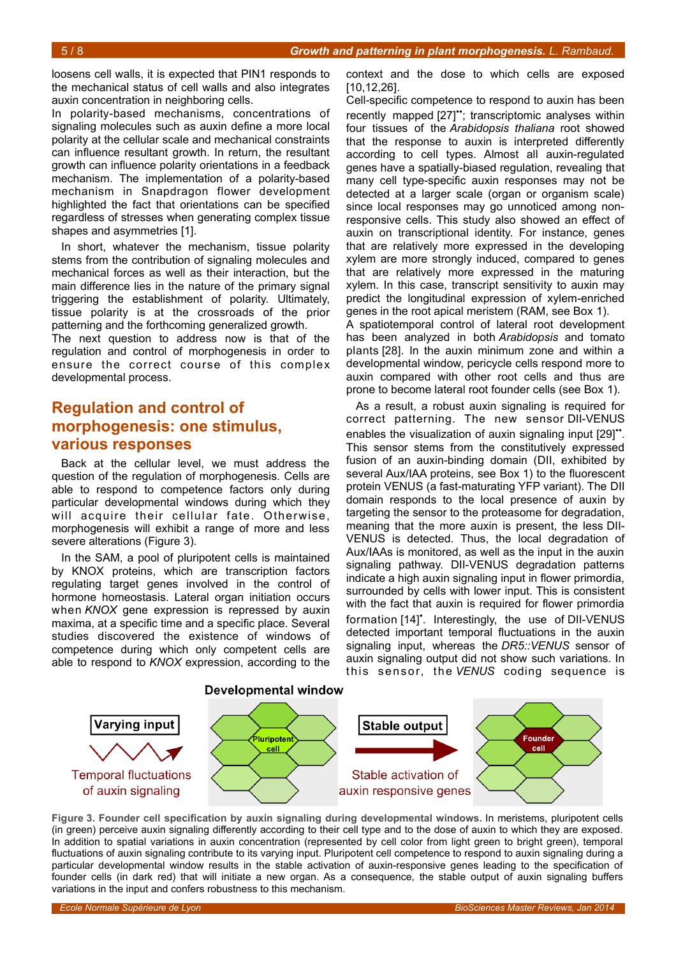loosens cell walls, it is expected that PIN1 responds to the mechanical status of cell walls and also integrates auxin concentration in neighboring cells.

In polarity-based mechanisms, concentrations of signaling molecules such as auxin define a more local polarity at the cellular scale and mechanical constraints can influence resultant growth. In return, the resultant growth can influence polarity orientations in a feedback mechanism. The implementation of a polarity-based mechanism in Snapdragon flower development highlighted the fact that orientations can be specified regardless of stresses when generating complex tissue shapes and asymmetries [1].

In short, whatever the mechanism, tissue polarity stems from the contribution of signaling molecules and mechanical forces as well as their interaction, but the main difference lies in the nature of the primary signal triggering the establishment of polarity. Ultimately, tissue polarity is at the crossroads of the prior patterning and the forthcoming generalized growth.

The next question to address now is that of the regulation and control of morphogenesis in order to ensure the correct course of this complex developmental process.

# **Regulation and control of morphogenesis: one stimulus, various responses**

Back at the cellular level, we must address the question of the regulation of morphogenesis. Cells are able to respond to competence factors only during particular developmental windows during which they will acquire their cellular fate. Otherwise, morphogenesis will exhibit a range of more and less severe alterations (Figure [3\)](#page-4-0).

In the SAM, a pool of pluripotent cells is maintained by KNOX proteins, which are transcription factors regulating target genes involved in the control of hormone homeostasis. Lateral organ initiation occurs when *KNOX* gene expression is repressed by auxin maxima, at a specific time and a specific place. Several studies discovered the existence of windows of competence during which only competent cells are able to respond to *KNOX* expression, according to the

context and the dose to which cells are exposed [10,12,26].

Cell-specific competence to respond to auxin has been recently mapped [27]"; transcriptomic analyses within four tissues of the *Arabidopsis thaliana* root showed that the response to auxin is interpreted differently according to cell types. Almost all auxin-regulated genes have a spatially-biased regulation, revealing that many cell type-specific auxin responses may not be detected at a larger scale (organ or organism scale) since local responses may go unnoticed among nonresponsive cells. This study also showed an effect of auxin on transcriptional identity. For instance, genes that are relatively more expressed in the developing xylem are more strongly induced, compared to genes that are relatively more expressed in the maturing xylem. In this case, transcript sensitivity to auxin may predict the longitudinal expression of xylem-enriched genes in the root apical meristem (RAM, see Box [1\)](#page-0-0).

A spatiotemporal control of lateral root development has been analyzed in both *Arabidopsis* and tomato plants [28]. In the auxin minimum zone and within a developmental window, pericycle cells respond more to auxin compared with other root cells and thus are prone to become lateral root founder cells (see Box [1\)](#page-0-0).

As a result, a robust auxin signaling is required for correct patterning. The new sensor DII-VENUS enables the visualization of auxin signaling input [29]". This sensor stems from the constitutively expressed fusion of an auxin-binding domain (DII, exhibited by several Aux/IAA proteins, see Box [1\)](#page-0-0) to the fluorescent protein VENUS (a fast-maturating YFP variant). The DII domain responds to the local presence of auxin by targeting the sensor to the proteasome for degradation, meaning that the more auxin is present, the less DII-VENUS is detected. Thus, the local degradation of Aux/IAAs is monitored, as well as the input in the auxin signaling pathway. DII-VENUS degradation patterns indicate a high auxin signaling input in flower primordia, surrounded by cells with lower input. This is consistent with the fact that auxin is required for flower primordia formation [14]<sup>\*</sup>. Interestingly, the use of DII-VENUS detected important temporal fluctuations in the auxin signaling input, whereas the *DR5::VENUS* sensor of auxin signaling output did not show such variations. In this s ensor, the *VENUS* coding sequence is



<span id="page-4-0"></span>**Figure 3. Founder cell specification by auxin signaling during developmental windows.** In meristems, pluripotent cells (in green) perceive auxin signaling differently according to their cell type and to the dose of auxin to which they are exposed. In addition to spatial variations in auxin concentration (represented by cell color from light green to bright green), temporal fluctuations of auxin signaling contribute to its varying input. Pluripotent cell competence to respond to auxin signaling during a particular developmental window results in the stable activation of auxin-responsive genes leading to the specification of founder cells (in dark red) that will initiate a new organ. As a consequence, the stable output of auxin signaling buffers variations in the input and confers robustness to this mechanism.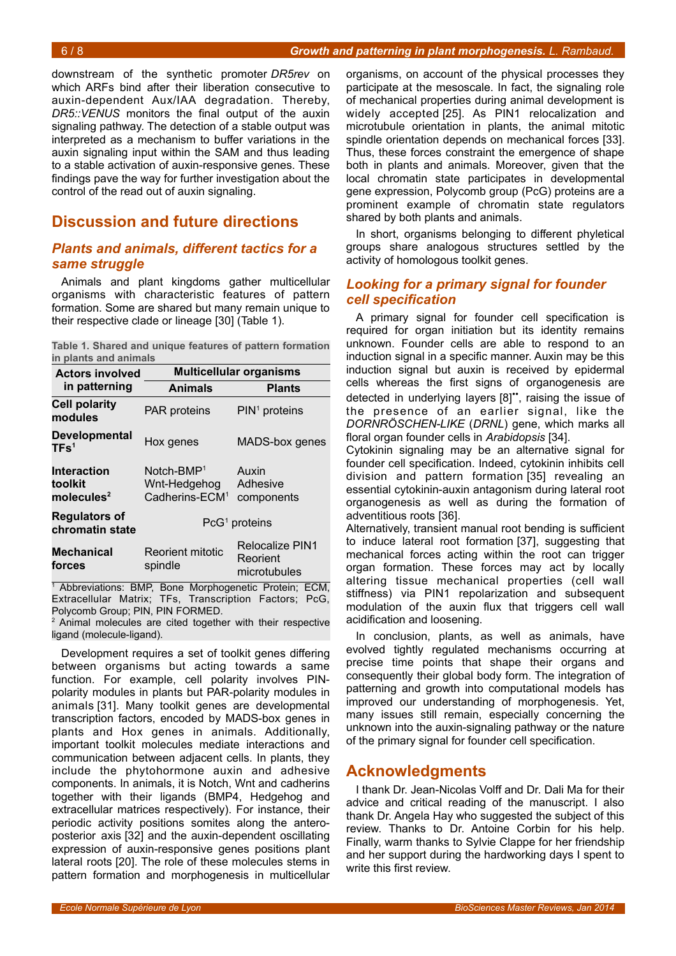downstream of the synthetic promoter *DR5rev* on which ARFs bind after their liberation consecutive to auxin-dependent Aux/IAA degradation. Thereby, *DR5::VENUS* monitors the final output of the auxin signaling pathway. The detection of a stable output was interpreted as a mechanism to buffer variations in the auxin signaling input within the SAM and thus leading to a stable activation of auxin-responsive genes. These findings pave the way for further investigation about the control of the read out of auxin signaling.

# **Discussion and future directions**

# *Plants and animals, different tactics for a same struggle*

Animals and plant kingdoms gather multicellular organisms with characteristic features of pattern formation. Some are shared but many remain unique to their respective clade or lineage [30] (Table [1\)](#page-5-0).

<span id="page-5-0"></span>**Table 1. Shared and unique features of pattern formation in plants and animals**

| <b>Actors involved</b><br>in patterning                 | <b>Multicellular organisms</b>                             |                                             |
|---------------------------------------------------------|------------------------------------------------------------|---------------------------------------------|
|                                                         | <b>Animals</b>                                             | <b>Plants</b>                               |
| <b>Cell polarity</b><br>modules                         | <b>PAR proteins</b>                                        | $PIN1$ proteins                             |
| <b>Developmental</b><br>TFs <sup>1</sup>                | Hox genes                                                  | MADS-box genes                              |
| <b>Interaction</b><br>toolkit<br>molecules <sup>2</sup> | $Notch-BMP1$<br>Wnt-Hedgehog<br>Cadherins-ECM <sup>1</sup> | Auxin<br>Adhesive<br>components             |
| <b>Regulators of</b><br>chromatin state                 | $PG1$ proteins                                             |                                             |
| <b>Mechanical</b><br>forces                             | <b>Reorient mitotic</b><br>spindle                         | Relocalize PIN1<br>Reorient<br>microtubules |

<sup>1</sup> Abbreviations: BMP, Bone Morphogenetic Protein; ECM, Extracellular Matrix; TFs, Transcription Factors; PcG, Polycomb Group; PIN, PIN FORMED. 2

 Animal molecules are cited together with their respective ligand (molecule-ligand).

Development requires a set of toolkit genes differing between organisms but acting towards a same function. For example, cell polarity involves PINpolarity modules in plants but PAR-polarity modules in animals [31]. Many toolkit genes are developmental transcription factors, encoded by MADS-box genes in plants and Hox genes in animals. Additionally, important toolkit molecules mediate interactions and communication between adjacent cells. In plants, they include the phytohormone auxin and adhesive components. In animals, it is Notch, Wnt and cadherins together with their ligands (BMP4, Hedgehog and extracellular matrices respectively). For instance, their periodic activity positions somites along the anteroposterior axis [32] and the auxin-dependent oscillating expression of auxin-responsive genes positions plant lateral roots [20]. The role of these molecules stems in pattern formation and morphogenesis in multicellular

organisms, on account of the physical processes they participate at the mesoscale. In fact, the signaling role of mechanical properties during animal development is widely accepted [25]. As PIN1 relocalization and microtubule orientation in plants, the animal mitotic spindle orientation depends on mechanical forces [33]. Thus, these forces constraint the emergence of shape both in plants and animals. Moreover, given that the local chromatin state participates in developmental gene expression, Polycomb group (PcG) proteins are a prominent example of chromatin state regulators shared by both plants and animals.

In short, organisms belonging to different phyletical groups share analogous structures settled by the activity of homologous toolkit genes.

# *Looking for a primary signal for founder cell specification*

A primary signal for founder cell specification is required for organ initiation but its identity remains unknown. Founder cells are able to respond to an induction signal in a specific manner. Auxin may be this induction signal but auxin is received by epidermal cells whereas the first signs of organogenesis are detected in underlying layers [8]••, raising the issue of the presence of an earlier signal, like the *DORNRÖSCHEN-LIKE* (*DRNL*) gene, which marks all floral organ founder cells in *Arabidopsis* [34].

Cytokinin signaling may be an alternative signal for founder cell specification. Indeed, cytokinin inhibits cell division and pattern formation [35] revealing an essential cytokinin-auxin antagonism during lateral root organogenesis as well as during the formation of adventitious roots [36].

Alternatively, transient manual root bending is sufficient to induce lateral root formation [37], suggesting that mechanical forces acting within the root can trigger organ formation. These forces may act by locally altering tissue mechanical properties (cell wall stiffness) via PIN1 repolarization and subsequent modulation of the auxin flux that triggers cell wall acidification and loosening.

In conclusion, plants, as well as animals, have evolved tightly regulated mechanisms occurring at precise time points that shape their organs and consequently their global body form. The integration of patterning and growth into computational models has improved our understanding of morphogenesis. Yet, many issues still remain, especially concerning the unknown into the auxin-signaling pathway or the nature of the primary signal for founder cell specification.

# **Acknowledgments**

I thank Dr. Jean-Nicolas Volff and Dr. Dali Ma for their advice and critical reading of the manuscript. I also thank Dr. Angela Hay who suggested the subject of this review. Thanks to Dr. Antoine Corbin for his help. Finally, warm thanks to Sylvie Clappe for her friendship and her support during the hardworking days I spent to write this first review.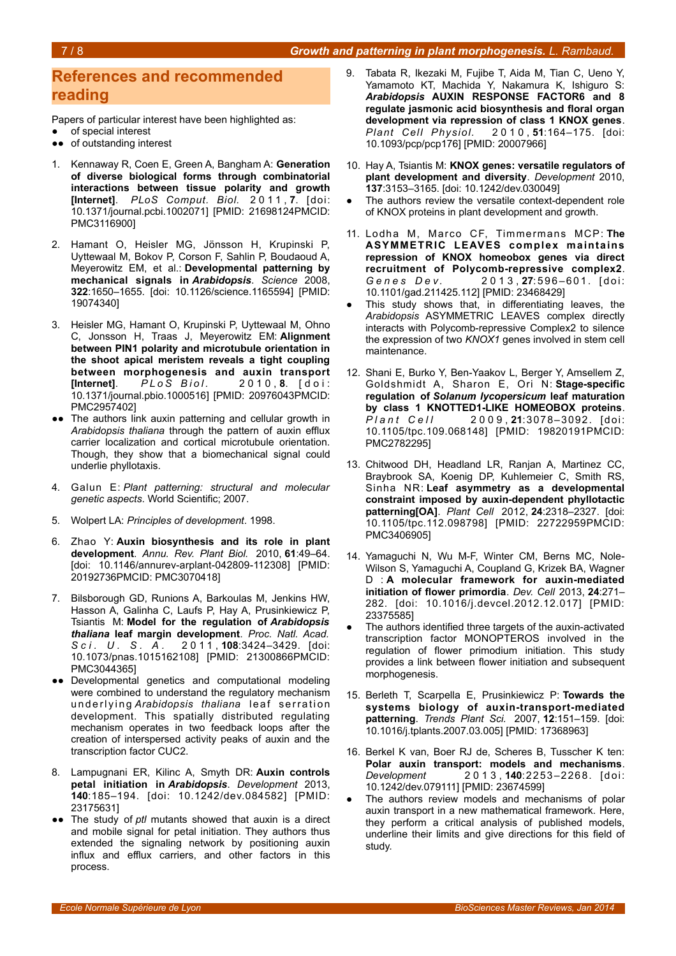# **References and recommended reading**

Papers of particular interest have been highlighted as:

- of special interest
- ●● of outstanding interest
- 1. Kennaway R, Coen E, Green A, Bangham A: **Generation of diverse biological forms through combinatorial interactions between tissue polarity and growth [Internet]**. *PLoS Comput. Biol.* 2 0 1 1 , **7**. [doi: 10.1371/journal.pcbi.1002071] [PMID: 21698124PMCID: PMC3116900]
- 2. Hamant O, Heisler MG, Jönsson H, Krupinski P, Uyttewaal M, Bokov P, Corson F, Sahlin P, Boudaoud A, Meyerowitz EM, et al.: **Developmental patterning by mechanical signals in** *Arabidopsis*. *Science* 2008, **322**:1650–1655. [doi: 10.1126/science.1165594] [PMID: 19074340]
- 3. Heisler MG, Hamant O, Krupinski P, Uyttewaal M, Ohno C, Jonsson H, Traas J, Meyerowitz EM: **Alignment between PIN1 polarity and microtubule orientation in the shoot apical meristem reveals a tight coupling between morphogenesis and auxin transport [Internet].** *PLoS Biol.* 2010, 8. [doi: 10.1371/journal.pbio.1000516] [PMID: 20976043PMCID: PMC2957402]
- ●● The authors link auxin patterning and cellular growth in *Arabidopsis thaliana* through the pattern of auxin efflux carrier localization and cortical microtubule orientation. Though, they show that a biomechanical signal could underlie phyllotaxis.
- 4. Galun E: *Plant patterning: structural and molecular genetic aspects*. World Scientific; 2007.
- 5. Wolpert LA: *Principles of development*. 1998.
- 6. Zhao Y: **Auxin biosynthesis and its role in plant development**. *Annu. Rev. Plant Biol.* 2010, **61**:49–64. [doi: 10.1146/annurev-arplant-042809-112308] [PMID: 20192736PMCID: PMC3070418]
- Bilsborough GD, Runions A, Barkoulas M, Jenkins HW, Hasson A, Galinha C, Laufs P, Hay A, Prusinkiewicz P, Tsiantis M: **Model for the regulation of** *Arabidopsis thaliana* **leaf margin development**. *Proc. Natl. Acad. S c i . U . S . A .* 2 0 1 1 , **108**:3424–3429. [doi: 10.1073/pnas.1015162108] [PMID: 21300866PMCID: PMC3044365]
- ●● Developmental genetics and computational modeling were combined to understand the regulatory mechanism underlying Arabidopsis thaliana leaf serration development. This spatially distributed regulating mechanism operates in two feedback loops after the creation of interspersed activity peaks of auxin and the transcription factor CUC2.
- 8. Lampugnani ER, Kilinc A, Smyth DR: **Auxin controls petal initiation in** *Arabidopsis*. *Development* 2013, **140**:185–194. [doi: 10.1242/dev.084582] [PMID: 23175631]
- ●● The study of *ptl* mutants showed that auxin is a direct and mobile signal for petal initiation. They authors thus extended the signaling network by positioning auxin influx and efflux carriers, and other factors in this process.
- 9. Tabata R, Ikezaki M, Fujibe T, Aida M, Tian C, Ueno Y, Yamamoto KT, Machida Y, Nakamura K, Ishiguro S: *Arabidopsis* **AUXIN RESPONSE FACTOR6 and 8 regulate jasmonic acid biosynthesis and floral organ development via repression of class 1 KNOX genes**. *Plant Cell Physiol.* 2 0 1 0 , **51**:164–175. [doi: 10.1093/pcp/pcp176] [PMID: 20007966]
- 10. Hay A, Tsiantis M: **KNOX genes: versatile regulators of plant development and diversity**. *Development* 2010, **137**:3153–3165. [doi: 10.1242/dev.030049]
- The authors review the versatile context-dependent role of KNOX proteins in plant development and growth.
- 11. Lodha M, Marco CF, Timmermans MCP: **The ASYMMETRIC LEAVES complex maintains repression of KNOX homeobox genes via direct recruitment of Polycomb-repressive complex2**. *Genes Dev.* 2013, 27:596-601. [doi: 10.1101/gad.211425.112] [PMID: 23468429]
- This study shows that, in differentiating leaves, the *Arabidopsis* ASYMMETRIC LEAVES complex directly interacts with Polycomb-repressive Complex2 to silence the expression of two *KNOX1* genes involved in stem cell maintenance.
- 12. Shani E, Burko Y, Ben-Yaakov L, Berger Y, Amsellem Z, Goldshmidt A, Sharon E, Ori N: **Stage-specific regulation of** *Solanum lycopersicum* **leaf maturation by class 1 KNOTTED1-LIKE HOMEOBOX proteins**. *P l a n t C e l l* 2 0 0 9 , **21**:3078–3092. [doi: 10.1105/tpc.109.068148] [PMID: 19820191PMCID: PMC2782295]
- 13. Chitwood DH, Headland LR, Ranjan A, Martinez CC, Braybrook SA, Koenig DP, Kuhlemeier C, Smith RS, Sinha NR: **Leaf asymmetry as a developmental constraint imposed by auxin-dependent phyllotactic patterning[OA]**. *Plant Cell* 2012, **24**:2318–2327. [doi: 10.1105/tpc.112.098798] [PMID: 22722959PMCID: PMC3406905]
- 14. Yamaguchi N, Wu M-F, Winter CM, Berns MC, Nole-Wilson S, Yamaguchi A, Coupland G, Krizek BA, Wagner D : **A molecular framework for auxin-mediated initiation of flower primordia**. *Dev. Cell* 2013, **24**:271– 282. [doi: 10.1016/j.devcel.2012.12.017] [PMID: 23375585]
- The authors identified three targets of the auxin-activated transcription factor MONOPTEROS involved in the regulation of flower primodium initiation. This study provides a link between flower initiation and subsequent morphogenesis.
- 15. Berleth T, Scarpella E, Prusinkiewicz P: **Towards the systems biology of auxin-transport-mediated patterning**. *Trends Plant Sci.* 2007, **12**:151–159. [doi: 10.1016/j.tplants.2007.03.005] [PMID: 17368963]
- 16. Berkel K van, Boer RJ de, Scheres B, Tusscher K ten: **Polar auxin transport: models and mechanisms**. *Development* 2 0 1 3 , **140**:2253–2268. [doi: 10.1242/dev.079111] [PMID: 23674599]
- The authors review models and mechanisms of polar auxin transport in a new mathematical framework. Here, they perform a critical analysis of published models, underline their limits and give directions for this field of study.